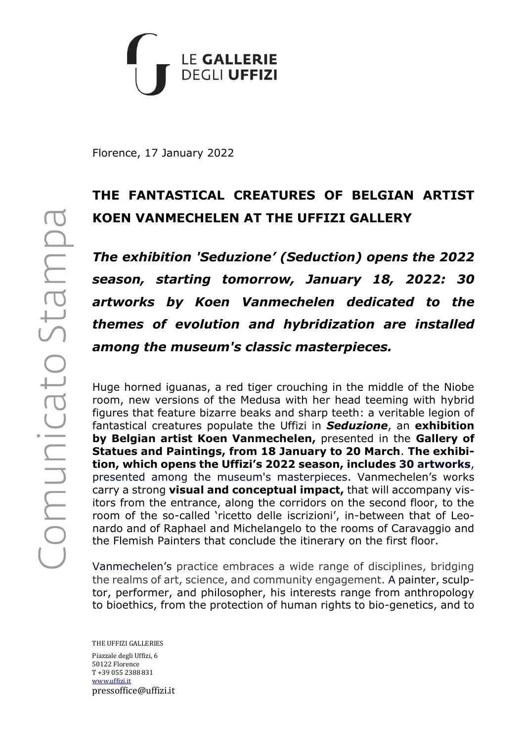

Florence, 17 January 2022

# **THE FANTASTICAL CREATURES OF BELGIAN ARTIST KOEN VANMECHELEN AT THE UFFIZI GALLERY**

*The exhibition 'Seduzione' (Seduction) opens the 2022 season, starting tomorrow, January 18, 2022: 30 artworks by Koen Vanmechelen dedicated to the themes of evolution and hybridization are installed among the museum's classic masterpieces.*

Huge horned iguanas, a red tiger crouching in the middle of the Niobe room, new versions of the Medusa with her head teeming with hybrid figures that feature bizarre beaks and sharp teeth: a veritable legion of fantastical creatures populate the Uffizi in *Seduzione*, an **exhibition by Belgian artist Koen Vanmechelen,** presented in the **Gallery of Statues and Paintings, from 18 January to 20 March**. **The exhibition, which opens the Uffizi's 2022 season, includes 30 artworks**, presented among the museum's masterpieces. Vanmechelen's works carry a strong **visual and conceptual impact,** that will accompany visitors from the entrance, along the corridors on the second floor, to the room of the so-called 'ricetto delle iscrizioni', in-between that of Leonardo and of Raphael and Michelangelo to the rooms of Caravaggio and the Flemish Painters that conclude the itinerary on the first floor.

Vanmechelen's practice embraces a wide range of disciplines, bridging the realms of art, science, and community engagement. A painter, sculptor, performer, and philosopher, his interests range from anthropology to bioethics, from the protection of human rights to bio-genetics, and to

THE UFFIZI GALLERIES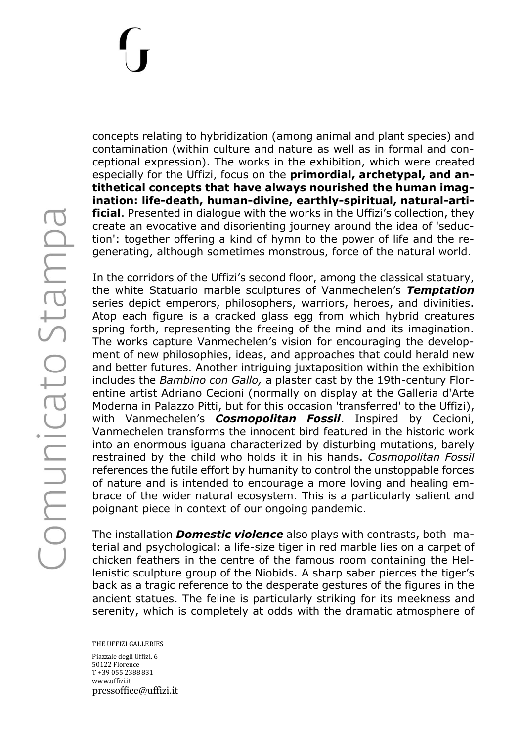Comunicato Stampa

concepts relating to hybridization (among animal and plant species) and contamination (within culture and nature as well as in formal and conceptional expression). The works in the exhibition, which were created especially for the Uffizi, focus on the **primordial, archetypal, and antithetical concepts that have always nourished the human imagination: life-death, human-divine, earthly-spiritual, natural-artificial**. Presented in dialogue with the works in the Uffizi's collection, they create an evocative and disorienting journey around the idea of 'seduction': together offering a kind of hymn to the power of life and the regenerating, although sometimes monstrous, force of the natural world.

In the corridors of the Uffizi's second floor, among the classical statuary, the white Statuario marble sculptures of Vanmechelen's *Temptation*  series depict emperors, philosophers, warriors, heroes, and divinities. Atop each figure is a cracked glass egg from which hybrid creatures spring forth, representing the freeing of the mind and its imagination. The works capture Vanmechelen's vision for encouraging the development of new philosophies, ideas, and approaches that could herald new and better futures. Another intriguing juxtaposition within the exhibition includes the *Bambino con Gallo,* a plaster cast by the 19th-century Florentine artist Adriano Cecioni (normally on display at the Galleria d'Arte Moderna in Palazzo Pitti, but for this occasion 'transferred' to the Uffizi), with Vanmechelen's *Cosmopolitan Fossil*. Inspired by Cecioni, Vanmechelen transforms the innocent bird featured in the historic work into an enormous iguana characterized by disturbing mutations, barely restrained by the child who holds it in his hands. *Cosmopolitan Fossil* references the futile effort by humanity to control the unstoppable forces of nature and is intended to encourage a more loving and healing embrace of the wider natural ecosystem. This is a particularly salient and poignant piece in context of our ongoing pandemic.

The installation *Domestic violence* also plays with contrasts, both material and psychological: a life-size tiger in red marble lies on a carpet of chicken feathers in the centre of the famous room containing the Hellenistic sculpture group of the Niobids. A sharp saber pierces the tiger's back as a tragic reference to the desperate gestures of the figures in the ancient statues. The feline is particularly striking for its meekness and serenity, which is completely at odds with the dramatic atmosphere of

THE UFFIZI GALLERIES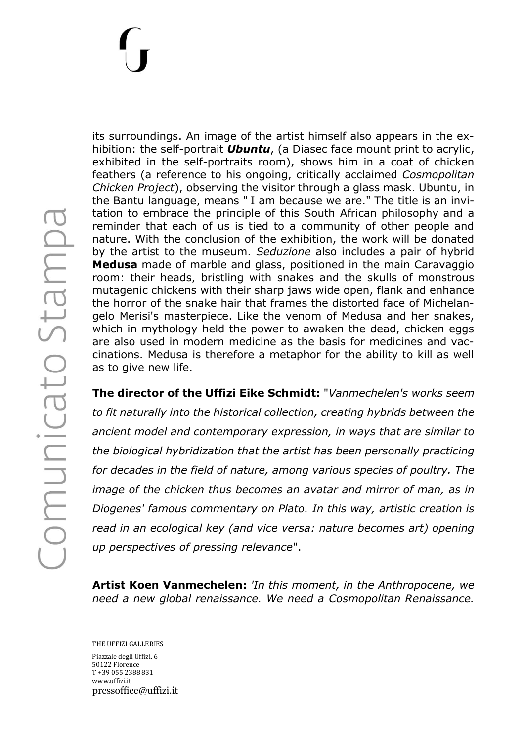Comunicato Stampa

its surroundings. An image of the artist himself also appears in the exhibition: the self-portrait *Ubuntu*, (a Diasec face mount print to acrylic, exhibited in the self-portraits room), shows him in a coat of chicken feathers (a reference to his ongoing, critically acclaimed *Cosmopolitan Chicken Project*), observing the visitor through a glass mask. Ubuntu, in the Bantu language, means " I am because we are." The title is an invitation to embrace the principle of this South African philosophy and a reminder that each of us is tied to a community of other people and nature. With the conclusion of the exhibition, the work will be donated by the artist to the museum. *Seduzione* also includes a pair of hybrid **Medusa** made of marble and glass, positioned in the main Caravaggio room: their heads, bristling with snakes and the skulls of monstrous mutagenic chickens with their sharp jaws wide open, flank and enhance the horror of the snake hair that frames the distorted face of Michelangelo Merisi's masterpiece. Like the venom of Medusa and her snakes, which in mythology held the power to awaken the dead, chicken eggs are also used in modern medicine as the basis for medicines and vaccinations. Medusa is therefore a metaphor for the ability to kill as well as to give new life.

**The director of the Uffizi Eike Schmidt:** "*Vanmechelen's works seem to fit naturally into the historical collection, creating hybrids between the ancient model and contemporary expression, in ways that are similar to the biological hybridization that the artist has been personally practicing for decades in the field of nature, among various species of poultry. The image of the chicken thus becomes an avatar and mirror of man, as in Diogenes' famous commentary on Plato. In this way, artistic creation is read in an ecological key (and vice versa: nature becomes art) opening up perspectives of pressing relevance*".

**Artist Koen Vanmechelen:** *'In this moment, in the Anthropocene, we need a new global renaissance. We need a Cosmopolitan Renaissance.* 

THE UFFIZI GALLERIES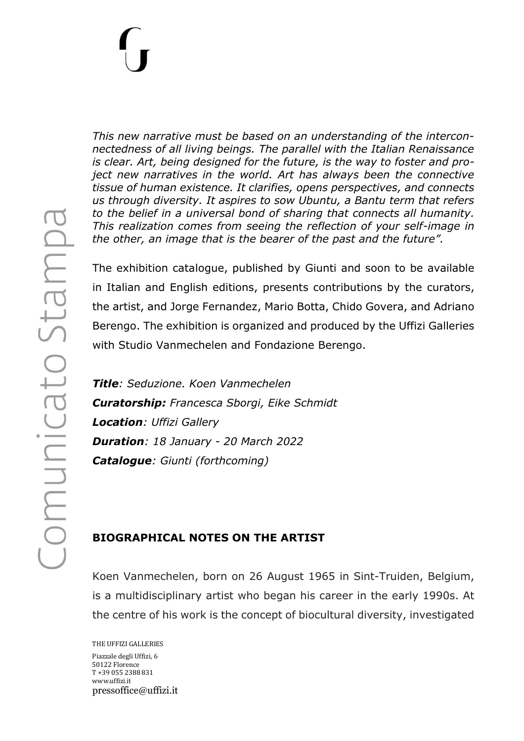Comunicato Stampa

*This new narrative must be based on an understanding of the interconnectedness of all living beings. The parallel with the Italian Renaissance is clear. Art, being designed for the future, is the way to foster and project new narratives in the world. Art has always been the connective tissue of human existence. It clarifies, opens perspectives, and connects us through diversity. It aspires to sow Ubuntu, a Bantu term that refers to the belief in a universal bond of sharing that connects all humanity. This realization comes from seeing the reflection of your self-image in the other, an image that is the bearer of the past and the future".*

The exhibition catalogue, published by Giunti and soon to be available in Italian and English editions, presents contributions by the curators, the artist, and Jorge Fernandez, Mario Botta, Chido Govera, and Adriano Berengo. The exhibition is organized and produced by the Uffizi Galleries with Studio Vanmechelen and Fondazione Berengo.

*Title: Seduzione. Koen Vanmechelen Curatorship: Francesca Sborgi, Eike Schmidt Location: Uffizi Gallery Duration: 18 January - 20 March 2022 Catalogue: Giunti (forthcoming)*

## **BIOGRAPHICAL NOTES ON THE ARTIST**

Koen Vanmechelen, born on 26 August 1965 in Sint-Truiden, Belgium, is a multidisciplinary artist who began his career in the early 1990s. At the centre of his work is the concept of biocultural diversity, investigated

THE UFFIZI GALLERIES Piazzale degli Uffizi, 6 50122 Florence T +39 055 2388 831 www.uffizi.it pressoffice@uffizi.it